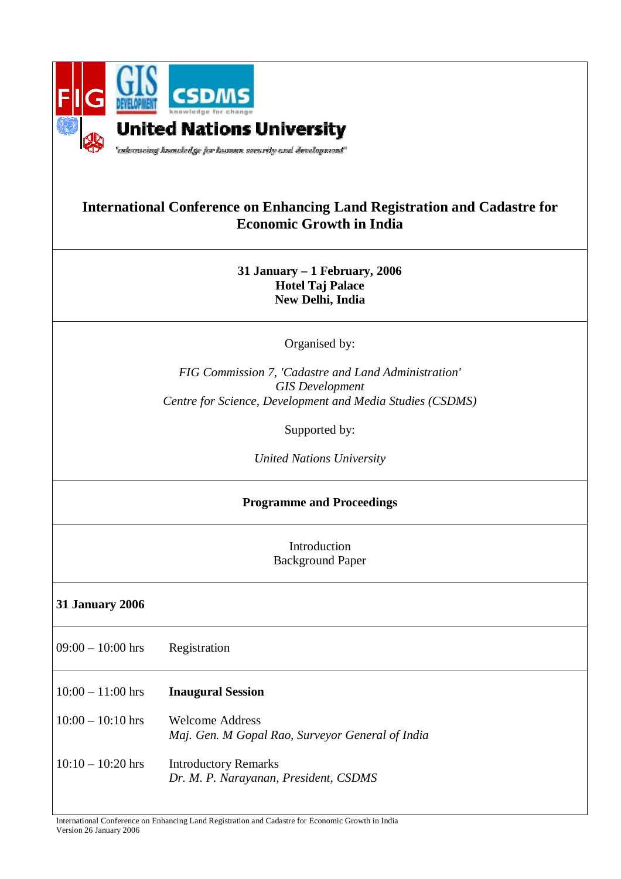

## **International Conference on Enhancing Land Registration and Cadastre for Economic Growth in India**

**31 January – 1 February, 2006 Hotel Taj Palace New Delhi, India** 

Organised by:

*FIG Commission 7, 'Cadastre and Land Administration' GIS Development Centre for Science, Development and Media Studies (CSDMS)* 

Supported by:

*United Nations University* 

## **Programme and Proceedings**

Introduction Background Paper

## **31 January 2006**

- $09:00 10:00$  hrs Registration
- 10:00 11:00 hrs **Inaugural Session**
- 10:00 10:10 hrs Welcome Address *Maj. Gen. M Gopal Rao, Surveyor General of India*
- 10:10 10:20 hrs Introductory Remarks *Dr. M. P. Narayanan, President, CSDMS*

International Conference on Enhancing Land Registration and Cadastre for Economic Growth in India Version 26 January 2006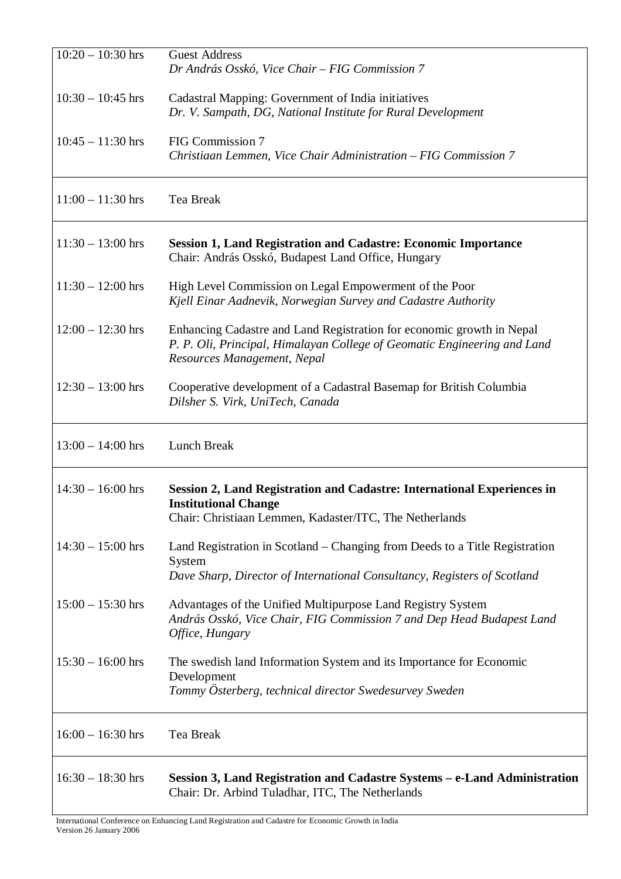| $10:20 - 10:30$ hrs | <b>Guest Address</b><br>Dr András Osskó, Vice Chair – FIG Commission 7                                                                                                           |
|---------------------|----------------------------------------------------------------------------------------------------------------------------------------------------------------------------------|
| $10:30 - 10:45$ hrs | Cadastral Mapping: Government of India initiatives<br>Dr. V. Sampath, DG, National Institute for Rural Development                                                               |
| $10:45 - 11:30$ hrs | FIG Commission 7<br>Christiaan Lemmen, Vice Chair Administration – FIG Commission 7                                                                                              |
| $11:00 - 11:30$ hrs | Tea Break                                                                                                                                                                        |
| $11:30 - 13:00$ hrs | <b>Session 1, Land Registration and Cadastre: Economic Importance</b><br>Chair: András Osskó, Budapest Land Office, Hungary                                                      |
| $11:30 - 12:00$ hrs | High Level Commission on Legal Empowerment of the Poor<br>Kjell Einar Aadnevik, Norwegian Survey and Cadastre Authority                                                          |
| $12:00 - 12:30$ hrs | Enhancing Cadastre and Land Registration for economic growth in Nepal<br>P. P. Oli, Principal, Himalayan College of Geomatic Engineering and Land<br>Resources Management, Nepal |
| $12:30 - 13:00$ hrs | Cooperative development of a Cadastral Basemap for British Columbia<br>Dilsher S. Virk, UniTech, Canada                                                                          |
| $13:00 - 14:00$ hrs | Lunch Break                                                                                                                                                                      |
| $14:30 - 16:00$ hrs | <b>Session 2, Land Registration and Cadastre: International Experiences in</b><br><b>Institutional Change</b><br>Chair: Christiaan Lemmen, Kadaster/ITC, The Netherlands         |
| $14:30 - 15:00$ hrs | Land Registration in Scotland – Changing from Deeds to a Title Registration<br>System<br>Dave Sharp, Director of International Consultancy, Registers of Scotland                |
| $15:00 - 15:30$ hrs | Advantages of the Unified Multipurpose Land Registry System<br>András Osskó, Vice Chair, FIG Commission 7 and Dep Head Budapest Land<br>Office, Hungary                          |
| $15:30 - 16:00$ hrs | The swedish land Information System and its Importance for Economic<br>Development<br>Tommy Österberg, technical director Swedesurvey Sweden                                     |
| $16:00 - 16:30$ hrs | Tea Break                                                                                                                                                                        |
| $16:30 - 18:30$ hrs | Session 3, Land Registration and Cadastre Systems – e-Land Administration<br>Chair: Dr. Arbind Tuladhar, ITC, The Netherlands                                                    |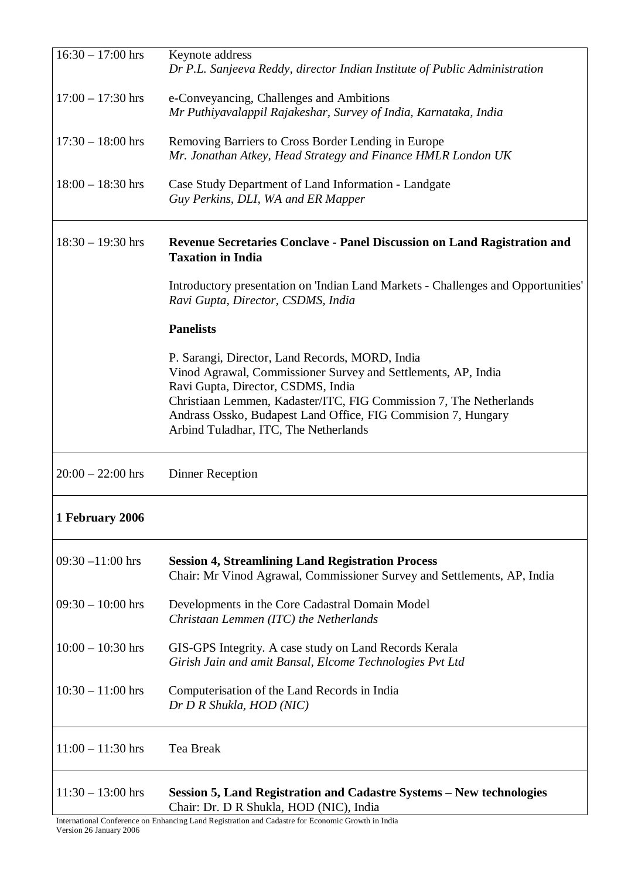| $16:30 - 17:00$ hrs | Keynote address<br>Dr P.L. Sanjeeva Reddy, director Indian Institute of Public Administration                                                                                                                                                                                                                                          |
|---------------------|----------------------------------------------------------------------------------------------------------------------------------------------------------------------------------------------------------------------------------------------------------------------------------------------------------------------------------------|
| $17:00 - 17:30$ hrs | e-Conveyancing, Challenges and Ambitions<br>Mr Puthiyavalappil Rajakeshar, Survey of India, Karnataka, India                                                                                                                                                                                                                           |
| $17:30 - 18:00$ hrs | Removing Barriers to Cross Border Lending in Europe<br>Mr. Jonathan Atkey, Head Strategy and Finance HMLR London UK                                                                                                                                                                                                                    |
| $18:00 - 18:30$ hrs | Case Study Department of Land Information - Landgate<br>Guy Perkins, DLI, WA and ER Mapper                                                                                                                                                                                                                                             |
| $18:30 - 19:30$ hrs | Revenue Secretaries Conclave - Panel Discussion on Land Ragistration and<br><b>Taxation in India</b>                                                                                                                                                                                                                                   |
|                     | Introductory presentation on 'Indian Land Markets - Challenges and Opportunities'<br>Ravi Gupta, Director, CSDMS, India                                                                                                                                                                                                                |
|                     | <b>Panelists</b>                                                                                                                                                                                                                                                                                                                       |
|                     | P. Sarangi, Director, Land Records, MORD, India<br>Vinod Agrawal, Commissioner Survey and Settlements, AP, India<br>Ravi Gupta, Director, CSDMS, India<br>Christiaan Lemmen, Kadaster/ITC, FIG Commission 7, The Netherlands<br>Andrass Ossko, Budapest Land Office, FIG Commision 7, Hungary<br>Arbind Tuladhar, ITC, The Netherlands |
| $20:00 - 22:00$ hrs | <b>Dinner Reception</b>                                                                                                                                                                                                                                                                                                                |
| 1 February 2006     |                                                                                                                                                                                                                                                                                                                                        |
| $09:30 - 11:00$ hrs | <b>Session 4, Streamlining Land Registration Process</b><br>Chair: Mr Vinod Agrawal, Commissioner Survey and Settlements, AP, India                                                                                                                                                                                                    |
| $09:30 - 10:00$ hrs | Developments in the Core Cadastral Domain Model<br>Christaan Lemmen (ITC) the Netherlands                                                                                                                                                                                                                                              |
| $10:00 - 10:30$ hrs | GIS-GPS Integrity. A case study on Land Records Kerala<br>Girish Jain and amit Bansal, Elcome Technologies Pvt Ltd                                                                                                                                                                                                                     |
| $10:30 - 11:00$ hrs | Computerisation of the Land Records in India<br>Dr D R Shukla, HOD (NIC)                                                                                                                                                                                                                                                               |
| $11:00 - 11:30$ hrs | Tea Break                                                                                                                                                                                                                                                                                                                              |
| $11:30 - 13:00$ hrs | Session 5, Land Registration and Cadastre Systems - New technologies<br>Chair: Dr. D R Shukla, HOD (NIC), India                                                                                                                                                                                                                        |